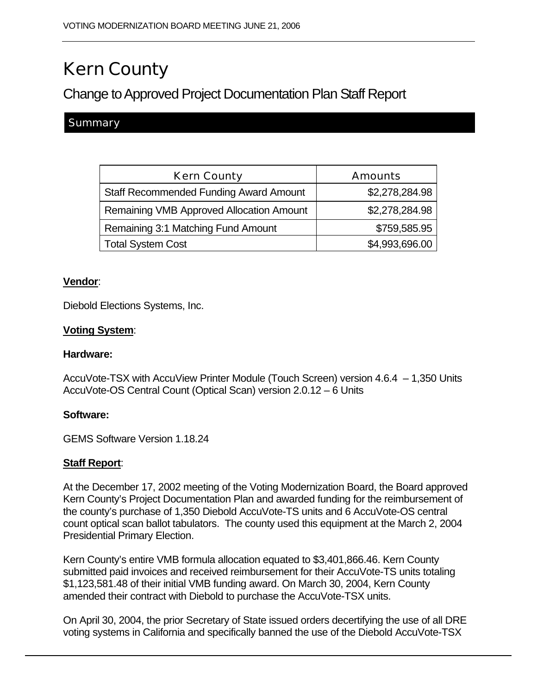# Kern County

# Change to Approved Project Documentation Plan Staff Report

## **Summary**

| <b>Kern County</b>                              | <b>Amounts</b> |
|-------------------------------------------------|----------------|
| <b>Staff Recommended Funding Award Amount</b>   | \$2,278,284.98 |
| <b>Remaining VMB Approved Allocation Amount</b> | \$2,278,284.98 |
| Remaining 3:1 Matching Fund Amount              | \$759,585.95   |
| <b>Total System Cost</b>                        | \$4,993,696.00 |

#### **Vendor**:

Diebold Elections Systems, Inc.

#### **Voting System**:

#### **Hardware:**

AccuVote-TSX with AccuView Printer Module (Touch Screen) version 4.6.4 – 1,350 Units AccuVote-OS Central Count (Optical Scan) version 2.0.12 – 6 Units

#### **Software:**

GEMS Software Version 1.18.24

#### **Staff Report**:

At the December 17, 2002 meeting of the Voting Modernization Board, the Board approved Kern County's Project Documentation Plan and awarded funding for the reimbursement of the county's purchase of 1,350 Diebold AccuVote-TS units and 6 AccuVote-OS central count optical scan ballot tabulators. The county used this equipment at the March 2, 2004 Presidential Primary Election.

Kern County's entire VMB formula allocation equated to \$3,401,866.46. Kern County submitted paid invoices and received reimbursement for their AccuVote-TS units totaling \$1,123,581.48 of their initial VMB funding award. On March 30, 2004, Kern County amended their contract with Diebold to purchase the AccuVote-TSX units.

On April 30, 2004, the prior Secretary of State issued orders decertifying the use of all DRE voting systems in California and specifically banned the use of the Diebold AccuVote-TSX